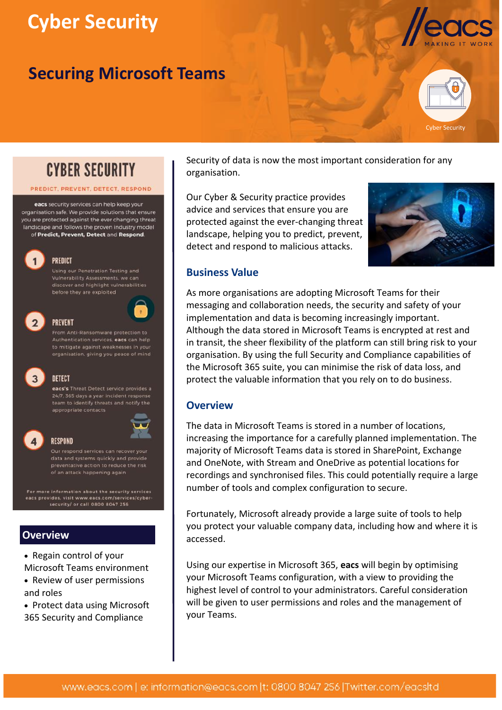# **Cyber Security**

# **Securing Microsoft Teams**



Cyber Security



#### PREDICT PREVENT DETECT RESPOND

eacs security services can help keep your organisation safe. We provide solutions that ensure you are protected against the ever changing threat landscape and follows the proven industry model of Predict, Prevent, Detect and Respond.



#### **PREDICT** Using our Penetration Testing and

Vulnerability Assessments, we can discover and highlight vulnerabilities before they are exploited



#### **PREVENT**

Authentication services, eacs can help to mitigate against weaknesses in your organisation, giving you peace of mind



eacs's Threat Detect service provides a 24/7, 365 days a year incident response team to identify threats and notify the appropriate contacts



#### **RESPOND**

Our respond services can recover your data and systems quickly and provide of an attack happening again

For more information about the security services eacs provides, visit www.eacs.com/services/cyber security/ or call 0800 8047 256

# **Overview**

- Regain control of your Microsoft Teams environment
- Review of user permissions and roles
- Protect data using Microsoft 365 Security and Compliance

Security of data is now the most important consideration for any organisation.

Our Cyber & Security practice provides advice and services that ensure you are protected against the ever-changing threat landscape, helping you to predict, prevent, detect and respond to malicious attacks.



## **Business Value**

As more organisations are adopting Microsoft Teams for their messaging and collaboration needs, the security and safety of your implementation and data is becoming increasingly important. Although the data stored in Microsoft Teams is encrypted at rest and in transit, the sheer flexibility of the platform can still bring risk to your organisation. By using the full Security and Compliance capabilities of the Microsoft 365 suite, you can minimise the risk of data loss, and protect the valuable information that you rely on to do business.

#### **Overview**

The data in Microsoft Teams is stored in a number of locations, increasing the importance for a carefully planned implementation. The majority of Microsoft Teams data is stored in SharePoint, Exchange and OneNote, with Stream and OneDrive as potential locations for recordings and synchronised files. This could potentially require a large number of tools and complex configuration to secure.

Fortunately, Microsoft already provide a large suite of tools to help you protect your valuable company data, including how and where it is accessed.

Using our expertise in Microsoft 365, **eacs** will begin by optimising your Microsoft Teams configuration, with a view to providing the highest level of control to your administrators. Careful consideration will be given to user permissions and roles and the management of your Teams.